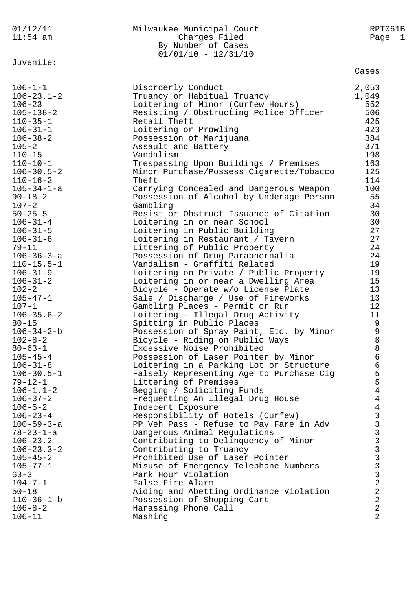| 01/12/11<br>$11:54$ am              | Milwaukee Municipal Court<br>Charges Filed<br>By Number of Cases               | RPT061B<br>Page 1                |
|-------------------------------------|--------------------------------------------------------------------------------|----------------------------------|
| Juvenile:                           | $01/01/10 - 12/31/10$                                                          |                                  |
|                                     |                                                                                | Cases                            |
| $106 - 1 - 1$                       | Disorderly Conduct                                                             | 2,053                            |
| $106 - 23.1 - 2$                    | Truancy or Habitual Truancy                                                    | 1,049                            |
| $106 - 23$                          | Loitering of Minor (Curfew Hours)                                              | 552                              |
| $105 - 138 - 2$                     | Resisting / Obstructing Police Officer                                         | 506                              |
| $110 - 35 - 1$                      | Retail Theft                                                                   | 425                              |
| $106 - 31 - 1$                      | Loitering or Prowling                                                          | 423<br>384                       |
| $106 - 38 - 2$<br>$105 - 2$         | Possession of Marijuana<br>Assault and Battery                                 | 371                              |
| $110 - 15$                          | Vandalism                                                                      | 198                              |
| $110 - 10 - 1$                      | Trespassing Upon Buildings / Premises                                          | 163                              |
| $106 - 30.5 - 2$                    | Minor Purchase/Possess Cigarette/Tobacco                                       | 125                              |
| $110 - 16 - 2$                      | Theft                                                                          | 114                              |
| 105-34-1-a                          | Carrying Concealed and Dangerous Weapon                                        | 100                              |
| $90 - 18 - 2$                       | Possession of Alcohol by Underage Person                                       | 55                               |
| $107 - 2$                           | Gambling                                                                       | 34                               |
| $50 - 25 - 5$                       | Resist or Obstruct Issuance of Citation                                        | 30                               |
| $106 - 31 - 4$                      | Loitering in or near School                                                    | 30                               |
| $106 - 31 - 5$                      | Loitering in Public Building                                                   | 27                               |
| $106 - 31 - 6$                      | Loitering in Restaurant / Tavern                                               | 27                               |
| $79 - 11$                           | Littering of Public Property                                                   | 24                               |
| $106 - 36 - 3 - a$                  | Possession of Drug Paraphernalia                                               | 24                               |
| $110 - 15.5 - 1$                    | Vandalism - Graffiti Related                                                   | 19<br>19                         |
| $106 - 31 - 9$<br>$106 - 31 - 2$    | Loitering on Private / Public Property<br>Loitering in or near a Dwelling Area | 15                               |
| $102 - 2$                           | Bicycle - Operate w/o License Plate                                            | 13                               |
| $105 - 47 - 1$                      | Sale / Discharge / Use of Fireworks                                            | 13                               |
| $107 - 1$                           | Gambling Places - Permit or Run                                                | 12                               |
| $106 - 35.6 - 2$                    | Loitering - Illegal Drug Activity                                              | 11                               |
| $80 - 15$                           | Spitting in Public Places                                                      | $\mathsf 9$                      |
| $106 - 34 - 2 - b$                  | Possession of Spray Paint, Etc. by Minor                                       | 9                                |
| $102 - 8 - 2$                       | Bicycle - Riding on Public Ways                                                | $\,8\,$                          |
| $80 - 63 - 1$                       | Excessive Noise Prohibited                                                     | 8                                |
| $105 - 45 - 4$                      | Possession of Laser Pointer by Minor                                           | 6                                |
| $106 - 31 - 8$                      | Loitering in a Parking Lot or Structure                                        | 6                                |
| $106 - 30.5 - 1$                    | Falsely Representing Age to Purchase Cig                                       | 5                                |
| $79 - 12 - 1$<br>$106 - 1.1 - 2$    | Littering of Premises                                                          | 5<br>$\overline{4}$              |
| $106 - 37 - 2$                      | Begging / Soliciting Funds<br>Frequenting An Illegal Drug House                | $\overline{4}$                   |
| $106 - 5 - 2$                       | Indecent Exposure                                                              | 4                                |
| $106 - 23 - 4$                      | Responsibility of Hotels (Curfew)                                              |                                  |
| $100 - 59 - 3 - a$                  | PP Veh Pass - Refuse to Pay Fare in Adv                                        |                                  |
| $78 - 23 - 1 - a$                   | Dangerous Animal Regulations                                                   | 333333333                        |
| $106 - 23.2$                        | Contributing to Delinquency of Minor                                           |                                  |
| $106 - 23.3 - 2$                    | Contributing to Truancy                                                        |                                  |
| $105 - 45 - 2$                      | Prohibited Use of Laser Pointer                                                |                                  |
| $105 - 77 - 1$                      | Misuse of Emergency Telephone Numbers                                          |                                  |
| $63 - 3$                            | Park Hour Violation                                                            |                                  |
| $104 - 7 - 1$                       | False Fire Alarm                                                               | $\overline{2}$                   |
| $50 - 18$                           | Aiding and Abetting Ordinance Violation                                        | $\overline{2}$<br>$\overline{2}$ |
| $110 - 36 - 1 - b$<br>$106 - 8 - 2$ | Possession of Shopping Cart<br>Harassing Phone Call                            | $\overline{2}$                   |
| $106 - 11$                          | Mashing                                                                        | $\overline{2}$                   |
|                                     |                                                                                |                                  |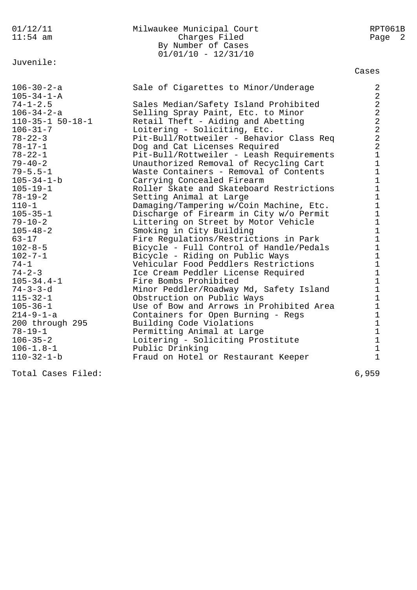| 01/12/11               | Milwaukee Municipal Court                | RPT061B                 |
|------------------------|------------------------------------------|-------------------------|
| $11:54$ am             | Charges Filed                            | Page 2                  |
|                        | By Number of Cases                       |                         |
|                        | $01/01/10 - 12/31/10$                    |                         |
| Juvenile:              |                                          |                         |
|                        |                                          | Cases                   |
| $106 - 30 - 2 - a$     | Sale of Cigarettes to Minor/Underage     | 2                       |
| $105 - 34 - 1 - A$     |                                          | $\sqrt{2}$              |
| $74 - 1 - 2.5$         | Sales Median/Safety Island Prohibited    | $\sqrt{2}$              |
| $106 - 34 - 2 - a$     | Selling Spray Paint, Etc. to Minor       | $\overline{a}$          |
| $110 - 35 - 1$ 50-18-1 | Retail Theft - Aiding and Abetting       | $\overline{2}$          |
| $106 - 31 - 7$         | Loitering - Soliciting, Etc.             | $\overline{\mathbf{c}}$ |
| $78 - 22 - 3$          | Pit-Bull/Rottweiler - Behavior Class Req | 2                       |
| $78 - 17 - 1$          | Dog and Cat Licenses Required            | $\overline{2}$          |
| $78 - 22 - 1$          | Pit-Bull/Rottweiler - Leash Requirements | $\mathbf{1}$            |
| $79 - 40 - 2$          | Unauthorized Removal of Recycling Cart   | $\mathbf{1}$            |
| $79 - 5.5 - 1$         | Waste Containers - Removal of Contents   | $\mathbf 1$             |
| $105 - 34 - 1 - b$     | Carrying Concealed Firearm               | $\mathbf{1}$            |
| $105 - 19 - 1$         | Roller Skate and Skateboard Restrictions | $\mathbf{1}$            |
| $78 - 19 - 2$          | Setting Animal at Large                  | $\mathbf{1}$            |
| $110 - 1$              | Damaging/Tampering w/Coin Machine, Etc.  | 1                       |
| $105 - 35 - 1$         | Discharge of Firearm in City w/o Permit  | $\mathbf{1}$            |
| $79 - 10 - 2$          | Littering on Street by Motor Vehicle     | $\mathbf{1}$            |
| $105 - 48 - 2$         | Smoking in City Building                 | $\mathbf{1}$            |
| $63 - 17$              | Fire Regulations/Restrictions in Park    | $\mathbf 1$             |
| $102 - 8 - 5$          | Bicycle - Full Control of Handle/Pedals  | $\mathbf 1$             |
| $102 - 7 - 1$          | Bicycle - Riding on Public Ways          | 1                       |
| $74 - 1$               | Vehicular Food Peddlers Restrictions     | $\mathbf{1}$            |
| $74 - 2 - 3$           | Ice Cream Peddler License Required       | $\mathbf{1}$            |
| $105 - 34.4 - 1$       | Fire Bombs Prohibited                    | $\mathbf{1}$            |
| $74 - 3 - 3 - d$       | Minor Peddler/Roadway Md, Safety Island  | $\mathbf{1}$            |
| $115 - 32 - 1$         | Obstruction on Public Ways               | $\mathbf{1}$            |
| $105 - 36 - 1$         | Use of Bow and Arrows in Prohibited Area | $\mathbf 1$             |
| $214 - 9 - 1 - a$      | Containers for Open Burning - Regs       | $\mathbf{1}$            |
| 200 through 295        | Building Code Violations                 | $\mathbf{1}$            |
| $78 - 19 - 1$          | Permitting Animal at Large               | $1\,$                   |
| $106 - 35 - 2$         | Loitering - Soliciting Prostitute        | $\mathbf 1$             |
| $106 - 1.8 - 1$        | Public Drinking                          | $\mathbf 1$             |
| $110 - 32 - 1 - b$     | Fraud on Hotel or Restaurant Keeper      | $\mathbf{1}$            |
|                        |                                          |                         |

Total Cases Filed: 6,959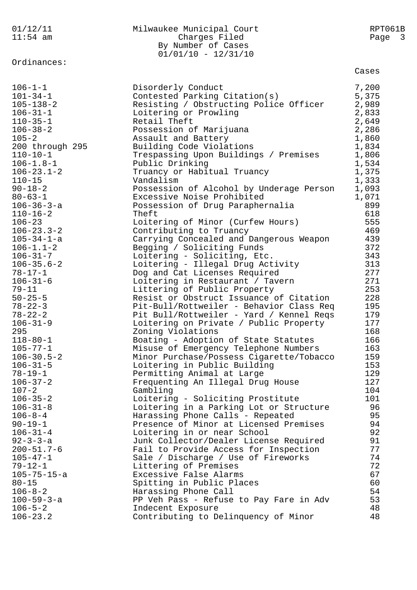| 01/12/11<br>$11:54$ am | Milwaukee Municipal Court<br>Charges Filed<br>By Number of Cases<br>$01/01/10 - 12/31/10$ | RPT061B<br>Page<br>$\overline{\mathbf{3}}$ |
|------------------------|-------------------------------------------------------------------------------------------|--------------------------------------------|
| Ordinances:            |                                                                                           | Cases                                      |
| $106 - 1 - 1$          | Disorderly Conduct                                                                        | 7,200                                      |
| $101 - 34 - 1$         | Contested Parking Citation(s)                                                             | 5,375                                      |
| $105 - 138 - 2$        | Resisting / Obstructing Police Officer                                                    | 2,989                                      |
| $106 - 31 - 1$         | Loitering or Prowling                                                                     | 2,833                                      |
| $110 - 35 - 1$         | Retail Theft                                                                              | 2,649                                      |
| $106 - 38 - 2$         | Possession of Marijuana                                                                   | 2,286                                      |
| $105 - 2$              | Assault and Battery                                                                       | 1,860                                      |
| 200 through 295        | Building Code Violations                                                                  | 1,834                                      |
| $110 - 10 - 1$         | Trespassing Upon Buildings / Premises                                                     | 1,806                                      |
| $106 - 1.8 - 1$        | Public Drinking                                                                           | 1,534                                      |
| $106 - 23.1 - 2$       | Truancy or Habitual Truancy                                                               | 1,375                                      |
| $110 - 15$             | Vandalism                                                                                 | 1,333                                      |
| $90 - 18 - 2$          | Possession of Alcohol by Underage Person                                                  | 1,093                                      |
| $80 - 63 - 1$          | Excessive Noise Prohibited                                                                | 1,071                                      |
| $106 - 36 - 3 - a$     | Possession of Drug Paraphernalia                                                          | 899                                        |
| $110 - 16 - 2$         | Theft                                                                                     | 618                                        |
| $106 - 23$             | Loitering of Minor (Curfew Hours)                                                         | 555                                        |
| $106 - 23.3 - 2$       | Contributing to Truancy                                                                   | 469                                        |
| $105 - 34 - 1 - a$     | Carrying Concealed and Dangerous Weapon                                                   | 439                                        |
| $106 - 1.1 - 2$        | Begging / Soliciting Funds                                                                | 372                                        |
| $106 - 31 - 7$         | Loitering - Soliciting, Etc.                                                              | 343                                        |
| $106 - 35.6 - 2$       | Loitering - Illegal Drug Activity                                                         | 313                                        |
| $78 - 17 - 1$          | Dog and Cat Licenses Required                                                             | 277                                        |
| $106 - 31 - 6$         | Loitering in Restaurant / Tavern                                                          | 271                                        |
| $79 - 11$              | Littering of Public Property                                                              | 253                                        |
| $50 - 25 - 5$          | Resist or Obstruct Issuance of Citation                                                   | 228                                        |
| $78 - 22 - 3$          | Pit-Bull/Rottweiler - Behavior Class Req                                                  | 195                                        |
| $78 - 22 - 2$          | Pit Bull/Rottweiler - Yard / Kennel Reqs                                                  | 179                                        |
| $106 - 31 - 9$         | Loitering on Private / Public Property                                                    | 177                                        |
| 295                    | Zoning Violations                                                                         | 168                                        |
| $118 - 80 - 1$         | Boating - Adoption of State Statutes                                                      | 166                                        |
| $105 - 77 - 1$         | Misuse of Emergency Telephone Numbers                                                     | 163                                        |
| $106 - 30.5 - 2$       | Minor Purchase/Possess Cigarette/Tobacco                                                  | 159                                        |
| $106 - 31 - 5$         | Loitering in Public Building                                                              | 153                                        |
| $78 - 19 - 1$          | Permitting Animal at Large                                                                | 129                                        |
| $106 - 37 - 2$         | Frequenting An Illegal Drug House                                                         | 127                                        |
| $107 - 2$              | Gambling                                                                                  | 104                                        |
| $106 - 35 - 2$         | Loitering - Soliciting Prostitute                                                         | 101                                        |
| $106 - 31 - 8$         | Loitering in a Parking Lot or Structure                                                   | 96                                         |
| $106 - 8 - 4$          | Harassing Phone Calls - Repeated                                                          | 95                                         |
| $90 - 19 - 1$          | Presence of Minor at Licensed Premises                                                    | 94                                         |
| $106 - 31 - 4$         | Loitering in or near School                                                               | 92                                         |
| $92 - 3 - 3 - a$       | Junk Collector/Dealer License Required                                                    | 91                                         |
| $200 - 51.7 - 6$       | Fail to Provide Access for Inspection                                                     | 77                                         |
| $105 - 47 - 1$         | Sale / Discharge / Use of Fireworks                                                       | 74                                         |
| $79 - 12 - 1$          | Littering of Premises                                                                     | 72                                         |
| $105 - 75 - 15 - a$    | Excessive False Alarms                                                                    | 67                                         |
| $80 - 15$              | Spitting in Public Places                                                                 | 60                                         |
| $106 - 8 - 2$          | Harassing Phone Call                                                                      | 54                                         |
| $100 - 59 - 3 - a$     | PP Veh Pass - Refuse to Pay Fare in Adv                                                   | 53                                         |
| $106 - 5 - 2$          | Indecent Exposure                                                                         | 48                                         |
| $106 - 23.2$           | Contributing to Delinquency of Minor                                                      | 48                                         |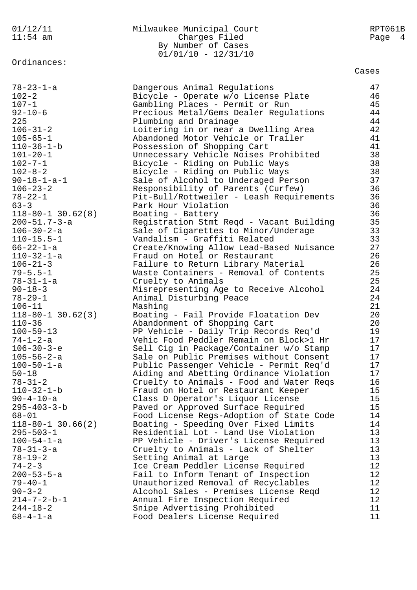## 01/12/11 Milwaukee Municipal Court RPT061B 11:54 am Charges Filed Page 4 By Number of Cases 01/01/10 - 12/31/10

Ordinances:

78-23-1-a Dangerous Animal Regulations 47 102-2 Bicycle - Operate w/o License Plate 46 107-1 Gambling Places - Permit or Run 45

92-10-6 Precious Metal/Gems Dealer Regulations 44 225 Plumbing and Drainage 44 106-31-2 Loitering in or near a Dwelling Area 42 105-65-1 Abandoned Motor Vehicle or Trailer 41 110-36-1-b Possession of Shopping Cart 41 101-20-1 Unnecessary Vehicle Noises Prohibited 38 102-7-1 Bicycle - Riding on Public Ways 38 102-8-2 Bicycle - Riding on Public Ways 38 90-18-1-a-1 Sale of Alcohol to Underaged Person 37 106-23-2 Responsibility of Parents (Curfew) 36 78-22-1 Pit-Bull/Rottweiler - Leash Requirements 36 63-3 Park Hour Violation 36 118-80-1 30.62(8) Boating - Battery 36 200-51.7-3-a Registration Stmt Reqd - Vacant Building 35 106-30-2-a Sale of Cigarettes to Minor/Underage 33 110-15.5-1 Vandalism - Graffiti Related 33 66-22-1-a Create/Knowing Allow Lead-Based Nuisance 27 110-32-1-a Fraud on Hotel or Restaurant 26 106-21-3 Failure to Return Library Material 26 79-5.5-1 Waste Containers - Removal of Contents 25 78-31-1-a Cruelty to Animals 25 90-18-3 Misrepresenting Age to Receive Alcohol 24 78-29-1 Animal Disturbing Peace 24 106-11 Mashing 21 118-80-1 30.62(3) Boating - Fail Provide Floatation Dev 20 110-36 Abandonment of Shopping Cart 20 100-59-13 PP Vehicle - Daily Trip Records Req'd 19 74-1-2-a Vehic Food Peddler Remain on Block>1 Hr 17 106-30-3-e Sell Cig in Package/Container w/o Stamp 17 105-56-2-a Sale on Public Premises without Consent 17 100-50-1-a Public Passenger Vehicle - Permit Req'd 17 50-18 Aiding and Abetting Ordinance Violation 17 78-31-2 Cruelty to Animals - Food and Water Reqs 16 110-32-1-b Fraud on Hotel or Restaurant Keeper 15 90-4-10-a Class D Operator's Liquor License 15 295-403-3-b Paved or Approved Surface Required 15 68-01 Food License Regs-Adoption of State Code 14 118-80-1 30.66(2) Boating - Speeding Over Fixed Limits 14 295-503-1 Residential Lot - Land Use Violation 13 100-54-1-a PP Vehicle - Driver's License Required 13 78-31-3-a Cruelty to Animals - Lack of Shelter 13 78-19-2 Setting Animal at Large 13 74-2-3 Ice Cream Peddler License Required 12 200-53-5-a Fail to Inform Tenant of Inspection 12 79-40-1 Unauthorized Removal of Recyclables 12 90-3-2 Alcohol Sales - Premises License Reqd 12 214-7-2-b-1 Annual Fire Inspection Required 12 244-18-2 Snipe Advertising Prohibited 11 68-4-1-a Food Dealers License Required 11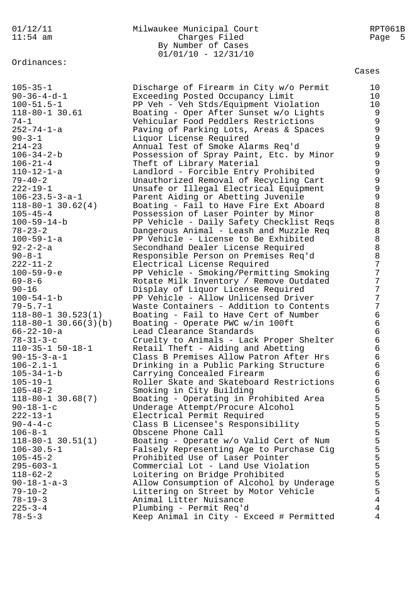Ordinances:

# 01/12/11 Milwaukee Municipal Court RPT061B 11:54 am Charges Filed Page 5 By Number of Cases 01/01/10 - 12/31/10

Cases

105-35-1 Discharge of Firearm in City w/o Permit 10 90-36-4-d-1 Exceeding Posted Occupancy Limit 10 100-51.5-1 PP Veh - Veh Stds/Equipment Violation 10 118-80-1 30.61 Boating - Oper After Sunset w/o Lights 9 74-1 Vehicular Food Peddlers Restrictions 9 252-74-1-a Paving of Parking Lots, Areas & Spaces 9 90-3-1 Liquor License Required 9 214-23 Annual Test of Smoke Alarms Req'd 9 106-34-2-b Possession of Spray Paint, Etc. by Minor 9 106-21-4 Theft of Library Material 9 110-12-1-a Landlord - Forcible Entry Prohibited 9 79-40-2 Unauthorized Removal of Recycling Cart 9 222-19-1 Unsafe or Illegal Electrical Equipment 9 106-23.5-3-a-1 Parent Aiding or Abetting Juvenile 9 118-80-1 30.62(4) Boating - Fail to Have Fire Ext Aboard 8 105-45-4 Possession of Laser Pointer by Minor 8 100-59-14-b PP Vehicle - Daily Safety Checklist Reqs 8 78-23-2 Dangerous Animal - Leash and Muzzle Req 8 100-59-1-a PP Vehicle - License to Be Exhibited 8 92-2-2-a Secondhand Dealer License Required 8 90-8-1 Responsible Person on Premises Req'd and 8 222-11-2 Electrical License Required 7 100-59-9-e PP Vehicle - Smoking/Permitting Smoking 7 69-8-6 Rotate Milk Inventory / Remove Outdated 7 90-16 Display of Liquor License Required 7 100-54-1-b PP Vehicle - Allow Unlicensed Driver 7 79-5.7-1 Waste Containers - Addition to Contents 7 118-80-1 30.523(1) Boating - Fail to Have Cert of Number 6 118-80-1 30.66(3)(b) Boating - Operate PWC w/in 100ft 6 66-22-10-a Lead Clearance Standards 6 78-31-3-c Cruelty to Animals - Lack Proper Shelter 6 110-35-1 50-18-1 Retail Theft - Aiding and Abetting 6 90-15-3-a-1 Class B Premises Allow Patron After Hrs 6 106-2.1-1 Drinking in a Public Parking Structure 6 105-34-1-b Carrying Concealed Firearm 6 105-19-1 Roller Skate and Skateboard Restrictions 6 105-48-2 Smoking in City Building 6 118-80-1 30.68(7) Boating - Operating in Prohibited Area 5 90-18-1-c Underage Attempt/Procure Alcohol 5 222-13-1 Electrical Permit Required 5 90-4-4-c Class B Licensee's Responsibility 5 106-8-1 Cobscene Phone Call 5 118-80-1 30.51(1) Boating - Operate w/o Valid Cert of Num 5 106-30.5-1 Falsely Representing Age to Purchase Cig 5 105-45-2 Prohibited Use of Laser Pointer 5 295-603-1 Commercial Lot - Land Use Violation 5 118-62-2 Loitering on Bridge Prohibited 5 90-18-1-a-3 Allow Consumption of Alcohol by Underage 5 79-10-2 The Littering on Street by Motor Vehicle 5 78-19-3 Animal Litter Nuisance 4 225-3-4 Plumbing - Permit Req'd 4 78-5-3 Keep Animal in City - Exceed # Permitted 4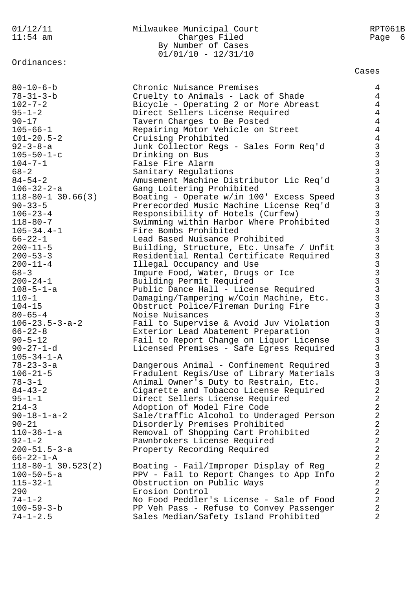## 01/12/11 Milwaukee Municipal Court RPT061B 11:54 am Charges Filed Page 6 By Number of Cases 01/01/10 - 12/31/10

Ordinances:

100-59-3-b PP Veh Pass - Refuse to Convey Passenger 2 74-1-2.5 Sales Median/Safety Island Prohibited 2

Cases

80-10-6-b Chronic Nuisance Premises 4 78-31-3-b Cruelty to Animals - Lack of Shade 4 102-7-2 Bicycle - Operating 2 or More Abreast 4 95-1-2 Direct Sellers License Required 4 90-17 Tavern Charges to Be Posted 4 105-66-1 Repairing Motor Vehicle on Street 4 101-20.5-2 Cruising Prohibited 4 92-3-8-a Junk Collector Regs - Sales Form Req'd 3 105-50-1-c Drinking on Bus 3 104-7-1 False Fire Alarm 3 68-2 Sanitary Regulations 3 84-54-2 Amusement Machine Distributor Lic Req'd 3 106-32-2-a Gang Loitering Prohibited 3 118-80-1 30.66(3) Boating - Operate w/in 100' Excess Speed 3 90-33-5 Prerecorded Music Machine License Req'd 3 106-23-4 Responsibility of Hotels (Curfew) 3 118-80-7 Swimming within Harbor Where Prohibited 3 105-34.4-1 Fire Bombs Prohibited 3 66-22-1 Lead Based Nuisance Prohibited 3 200-11-5 Building, Structure, Etc. Unsafe / Unfit 3 200-53-3 Residential Rental Certificate Required 3 200-11-4 **Illegal Occupancy and Use** 3 68-3 Impure Food, Water, Drugs or Ice 3 200-24-1 Building Permit Required 3 108-5-1-a Public Dance Hall - License Required 3 110-1 Damaging/Tampering w/Coin Machine, Etc. 3 104-15 Obstruct Police/Fireman During Fire 3 80-65-4 Noise Nuisances 3 106-23.5-3-a-2 Fail to Supervise & Avoid Juv Violation 3 66-22-8 Exterior Lead Abatement Preparation 3 90-5-12 Fail to Report Change on Liquor License 3 90-27-1-d Licensed Premises - Safe Egress Required 3  $105-34-1-A$  3 78-23-3-a Dangerous Animal - Confinement Required 3 106-21-5 Fradulent Regis/Use of Library Materials 3 78-3-1 Animal Owner's Duty to Restrain, Etc. 3 84-43-2 Cigarette and Tobacco License Required 2 95-1-1 Direct Sellers License Required 2 214-3 Adoption of Model Fire Code 2 90-18-1-a-2 Sale/traffic Alcohol to Underaged Person 2 90-21 Disorderly Premises Prohibited 2 110-36-1-a Removal of Shopping Cart Prohibited 2 92-1-2 Pawnbrokers License Required 2 200-51.5-3-a Property Recording Required 2  $66-22-1-A$  2 118-80-1 30.523(2) Boating - Fail/Improper Display of Reg 2 100-50-5-a PPV - Fail to Report Changes to App Info 2 115-32-1 Obstruction on Public Ways 2 290 Erosion Control 2 74-1-2 No Food Peddler's License - Sale of Food 2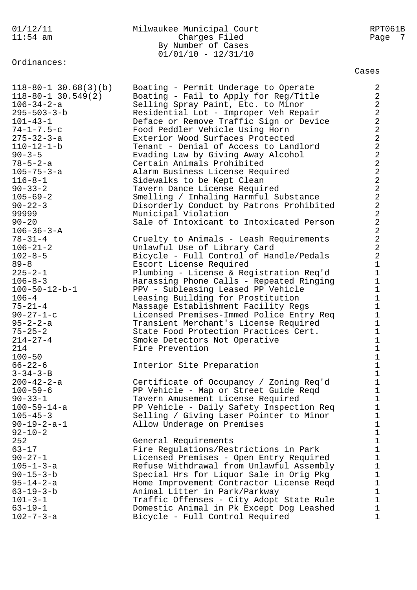## 01/12/11 Milwaukee Municipal Court RPT061B Charges Filed By Number of Cases  $01/01/10 - 12/31/10$

Ordinances:

| $118 - 80 - 1$ 30.68(3)(b)<br>$118 - 80 - 1$ 30.549(2)<br>106-34-2-a<br>$295 - 503 - 3 - b$<br>$101 - 43 - 1$<br>$74 - 1 - 7.5 - c$<br>275-32-3-a<br>$110 - 12 - 1 - b$<br>$90 - 3 - 5$<br>$78 - 5 - 2 - a$<br>105-75-3-a<br>$116 - 8 - 1$<br>$90 - 33 - 2$<br>$105 - 69 - 2$<br>$90 - 22 - 3$<br>99999<br>$90 - 20$<br>$106 - 36 - 3 - A$<br>$78 - 31 - 4$ | Boating - Permit Underage to Operate<br>Boating - Fail to Apply for Reg/Title<br>Selling Spray Paint, Etc. to Minor<br>Residential Lot - Improper Veh Repair<br>Deface or Remove Traffic Sign or Device<br>Food Peddler Vehicle Using Horn<br>Exterior Wood Surfaces Protected<br>Tenant - Denial of Access to Landlord<br>Evading Law by Giving Away Alcohol<br>Certain Animals Prohibited<br>Alarm Business License Required<br>Sidewalks to be Kept Clean<br>Tavern Dance License Required<br>Smelling / Inhaling Harmful Substance<br>Disorderly Conduct by Patrons Prohibited<br>Municipal Violation<br>Sale of Intoxicant to Intoxicated Person<br>Cruelty to Animals - Leash Requirements | $\overline{a}$<br>$\overline{a}$<br>$\overline{a}$<br>$\overline{a}$<br>$\overline{a}$<br>$\overline{\mathbf{c}}$<br>$\overline{\mathbf{c}}$<br>$\overline{\mathbf{c}}$<br>$\overline{\mathbf{c}}$<br>$\overline{a}$<br>$\frac{2}{2}$<br>$\overline{\mathbf{c}}$<br>$\overline{\mathbf{c}}$<br>$\overline{a}$<br>$\overline{a}$<br>$\overline{a}$<br>$\overline{a}$<br>$\overline{\mathbf{c}}$ |
|-------------------------------------------------------------------------------------------------------------------------------------------------------------------------------------------------------------------------------------------------------------------------------------------------------------------------------------------------------------|--------------------------------------------------------------------------------------------------------------------------------------------------------------------------------------------------------------------------------------------------------------------------------------------------------------------------------------------------------------------------------------------------------------------------------------------------------------------------------------------------------------------------------------------------------------------------------------------------------------------------------------------------------------------------------------------------|------------------------------------------------------------------------------------------------------------------------------------------------------------------------------------------------------------------------------------------------------------------------------------------------------------------------------------------------------------------------------------------------|
| $106 - 21 - 2$<br>$102 - 8 - 5$<br>$89 - 8$<br>$225 - 2 - 1$<br>$106 - 8 - 3$<br>$100 - 50 - 12 - b - 1$<br>$106 - 4$<br>$75 - 21 - 4$<br>$90 - 27 - 1 - c$<br>95-2-2-a<br>$75 - 25 - 2$                                                                                                                                                                    | Unlawful Use of Library Card<br>Bicycle - Full Control of Handle/Pedals<br>Escort License Required<br>Plumbing - License & Registration Req'd<br>Harassing Phone Calls - Repeated Ringing<br>PPV - Subleasing Leased PP Vehicle<br>Leasing Building for Prostitution<br>Massage Establishment Facility Regs<br>Licensed Premises-Immed Police Entry Req<br>Transient Merchant's License Required<br>State Food Protection Practices Cert.                                                                                                                                                                                                                                                        | $\overline{a}$<br>$\overline{a}$<br>$\mathbf{1}$<br>$\mathbf{1}$<br>$\mathbf{1}$<br>$\mathbf{1}$<br>$\mathbf{1}$<br>$\mathbf{1}$<br>$\mathbf{1}$<br>$\mathbf 1$<br>$\mathbf{1}$                                                                                                                                                                                                                |
| $214 - 27 - 4$<br>214<br>$100 - 50$<br>$66 - 22 - 6$<br>$3 - 34 - 3 - B$                                                                                                                                                                                                                                                                                    | Smoke Detectors Not Operative<br>Fire Prevention<br>Interior Site Preparation                                                                                                                                                                                                                                                                                                                                                                                                                                                                                                                                                                                                                    | $\mathbf{1}$<br>$\mathbf{1}$<br>$\mathbf{1}$<br>$\mathbf{1}$<br>$\mathbf{1}$                                                                                                                                                                                                                                                                                                                   |
| $200 - 42 - 2 - a$<br>$100 - 59 - 6$<br>$90 - 33 - 1$<br>$100 - 59 - 14 - a$<br>$105 - 45 - 3$<br>$90 - 19 - 2 - a - 1$<br>$92 - 10 - 2$                                                                                                                                                                                                                    | Certificate of Occupancy / Zoning Req'd<br>PP Vehicle - Map or Street Guide Reqd<br>Tavern Amusement License Required<br>PP Vehicle - Daily Safety Inspection Req<br>Selling / Giving Laser Pointer to Minor<br>Allow Underage on Premises                                                                                                                                                                                                                                                                                                                                                                                                                                                       | $\mathbf 1$<br>$\mathbf 1$<br>$\mathbf 1$<br>$\mathbf 1$<br>$\mathbf 1$<br>$\mathbf 1$<br>$\mathbf{1}$                                                                                                                                                                                                                                                                                         |
| 252<br>$63 - 17$<br>$90 - 27 - 1$<br>$105 - 1 - 3 - a$<br>$90 - 15 - 3 - b$<br>$95 - 14 - 2 - a$<br>$63 - 19 - 3 - b$<br>$101 - 3 - 1$<br>$63 - 19 - 1$<br>$102 - 7 - 3 - a$                                                                                                                                                                                | General Requirements<br>Fire Regulations/Restrictions in Park<br>Licensed Premises - Open Entry Required<br>Refuse Withdrawal from Unlawful Assembly<br>Special Hrs for Liquor Sale in Orig Pkg<br>Home Improvement Contractor License Reqd<br>Animal Litter in Park/Parkway<br>Traffic Offenses - City Adopt State Rule<br>Domestic Animal in Pk Except Dog Leashed<br>Bicycle - Full Control Required                                                                                                                                                                                                                                                                                          | $\mathbf{1}$<br>$\mathbf{1}$<br>$\mathbf{1}$<br>$\mathbf{1}$<br>$\mathbf{1}$<br>$\mathbf{1}$<br>$\mathbf{1}$<br>$\mathbf{1}$<br>$\mathbf{1}$<br>1                                                                                                                                                                                                                                              |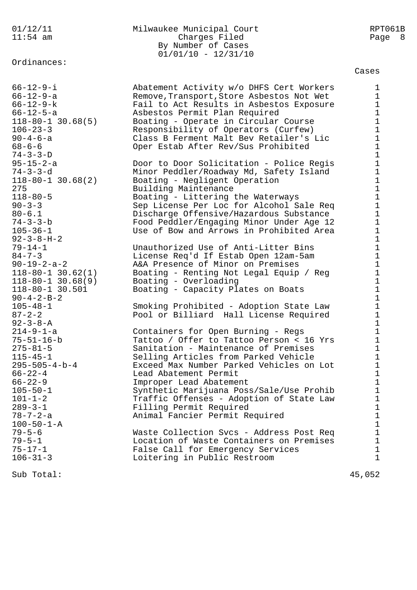Ordinances:

## 01/12/11 Milwaukee Municipal Court RPT061B 11:54 am Charges Filed Page 8 By Number of Cases 01/01/10 - 12/31/10

Cases

66-12-9-i Abatement Activity w/o DHFS Cert Workers 1 66-12-9-a Remove,Transport,Store Asbestos Not Wet 1 66-12-9-k Fail to Act Results in Asbestos Exposure 1 66-12-5-a Asbestos Permit Plan Required 1 118-80-1 30.68(5) Boating - Operate in Circular Course 1 106-23-3 Responsibility of Operators (Curfew) 1 90-4-6-a Class B Ferment Malt Bev Retailer's Lic 1 68-6-6 Oper Estab After Rev/Sus Prohibited 1  $74-3-3-D$  1 95-15-2-a Door to Door Solicitation - Police Regis 1 74-3-3-d Minor Peddler/Roadway Md, Safety Island 1 118-80-1 30.68(2) Boating - Negligent Operation 1 275 **Building Maintenance** 1 118-80-5 Boating - Littering the Waterways 1 90-3-3 Sep License Per Loc for Alcohol Sale Req 1 80-6.1 Discharge Offensive/Hazardous Substance 1 74-3-3-b Food Peddler/Engaging Minor Under Age 12 1 105-36-1 Use of Bow and Arrows in Prohibited Area 1 92-3-8-H-2 1 79-14-1 Unauthorized Use of Anti-Litter Bins 1 84-7-3 License Req'd If Estab Open 12am-5am 1 90-19-2-a-2 A&A Presence of Minor on Premises 1 118-80-1 30.62(1) Boating - Renting Not Legal Equip / Reg 1 118-80-1 30.68(9) Boating - Overloading 1 118-80-1 30.501 Boating - Capacity Plates on Boats 1 90-4-2-B-2 1 105-48-1 Smoking Prohibited - Adoption State Law 1 87-2-2 Pool or Billiard Hall License Required 1  $92 - 3 - 8 - A$  1 214-9-1-a Containers for Open Burning - Regs 1 75-51-16-b Tattoo / Offer to Tattoo Person < 16 Yrs 1 275-81-5 Sanitation - Maintenance of Premises 1 115-45-1 Selling Articles from Parked Vehicle 1 295-505-4-b-4 Exceed Max Number Parked Vehicles on Lot 1 66-22-4 Lead Abatement Permit 1 66-22-9 Improper Lead Abatement 1 105-50-1 Synthetic Marijuana Poss/Sale/Use Prohib 1 101-1-2 Traffic Offenses - Adoption of State Law 1 289-3-1 Filling Permit Required 1 78-7-2-a Animal Fancier Permit Required 1  $100 - 50 - 1 - A$  1 79-5-6 Waste Collection Svcs - Address Post Req 1 79-5-1 Location of Waste Containers on Premises 1 75-17-1 False Call for Emergency Services 1 106-31-3 Loitering in Public Restroom 1 Sub Total: 45,052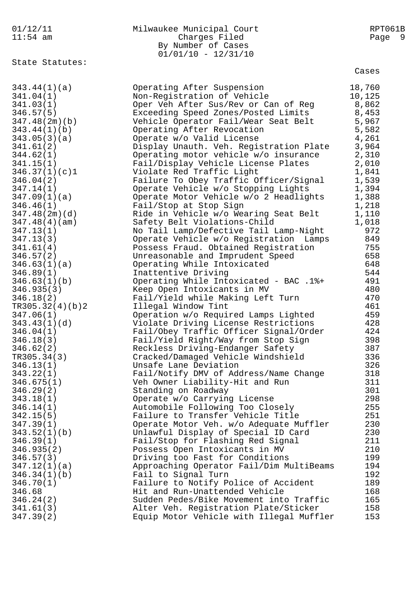| 01/12/11                | Milwaukee Municipal Court                                       | RPT061B     |
|-------------------------|-----------------------------------------------------------------|-------------|
| $11:54$ am              | Charges Filed                                                   | Page<br>- 9 |
|                         | By Number of Cases                                              |             |
|                         | $01/01/10 - 12/31/10$                                           |             |
| State Statutes:         |                                                                 | Cases       |
|                         |                                                                 |             |
| 343.44(1)(a)            | Operating After Suspension                                      | 18,760      |
| 341.04(1)               | Non-Registration of Vehicle                                     | 10,125      |
| 341.03(1)               | Oper Veh After Sus/Rev or Can of Reg                            | 8,862       |
| 346.57(5)               | Exceeding Speed Zones/Posted Limits                             | 8,453       |
| 347.48(2m)(b)           | Vehicle Operator Fail/Wear Seat Belt                            | 5,967       |
| 343.44(1)(b)            | Operating After Revocation                                      | 5,582       |
| 343.05(3)(a)            | Operate w/o Valid License                                       | 4,261       |
| 341.61(2)               | Display Unauth. Veh. Registration Plate                         | 3,964       |
| 344.62(1)               | Operating motor vehicle w/o insurance                           | 2,310       |
| 341.15(1)               | Fail/Display Vehicle License Plates                             | 2,010       |
| 346.37(1)(c)1           | Violate Red Traffic Light                                       | 1,841       |
| 346.04(2)               | Failure To Obey Traffic Officer/Signal                          | 1,539       |
| 347.14(1)               | Operate Vehicle w/o Stopping Lights                             | 1,394       |
| 347.09(1)(a)            | Operate Motor Vehicle w/o 2 Headlights                          | 1,388       |
| 346.46(1)               | Fail/Stop at Stop Sign                                          | 1,218       |
| 347.48(2m)(d)           | Ride in Vehicle w/o Wearing Seat Belt                           | 1,110       |
| 347.48(4)(am)           | Safety Belt Violations-Child                                    | 1,018       |
| 347.13(1)               | No Tail Lamp/Defective Tail Lamp-Night                          | 972         |
| 347.13(3)               | Operate Vehicle w/o Registration Lamps                          | 849         |
| 341.61(4)               | Possess Fraud. Obtained Registration                            | 755         |
| 346.57(2)               | Unreasonable and Imprudent Speed                                | 658         |
| 346.63(1)(a)            | Operating While Intoxicated                                     | 648         |
| 346.89(1)               | Inattentive Driving                                             | 544         |
| 346.63(1)(b)            | Operating While Intoxicated - BAC .1%+                          | 491         |
| 346.935(3)              | Keep Open Intoxicants in MV                                     | 480         |
| 346.18(2)               | Fail/Yield while Making Left Turn                               | 470         |
| TR305.32(4)(b)2         | Illegal Window Tint                                             | 461         |
| 347.06(1)               | Operation w/o Required Lamps Lighted                            | 459         |
| 343.43(1)(d)            | Violate Driving License Restrictions                            | 428         |
| 346.04(1)               | Fail/Obey Traffic Officer Signal/Order                          | 424         |
| 346.18(3)               | Fail/Yield Right/Way from Stop Sign                             | 398         |
| 346.62(2)               | Reckless Driving-Endanger Safety                                | 387         |
| TR305.34(3)             | Cracked/Damaged Vehicle Windshield                              | 336         |
| 346.13(1)               | Unsafe Lane Deviation<br>Fail/Notify DMV of Address/Name Change | 326<br>318  |
| 343.22(1)<br>346.675(1) |                                                                 | 311         |
| 346.29(2)               | Veh Owner Liability-Hit and Run<br>Standing on Roadway          | 301         |
| 343.18(1)               | Operate w/o Carrying License                                    | 298         |
| 346.14(1)               | Automobile Following Too Closely                                | 255         |
| 342.15(5)               | Failure to Transfer Vehicle Title                               | 251         |
| 347.39(1)               | Operate Motor Veh. w/o Adequate Muffler                         | 230         |
| 343.52(1)(b)            | Unlawful Display of Special ID Card                             | 230         |
| 346.39(1)               | Fail/Stop for Flashing Red Signal                               | 211         |
| 346.935(2)              | Possess Open Intoxicants in MV                                  | 210         |
| 346.57(3)               | Driving too Fast for Conditions                                 | 199         |
| 347.12(1)(a)            | Approaching Operator Fail/Dim MultiBeams                        | 194         |
| 346.34(1)(b)            | Fail to Signal Turn                                             | 192         |
| 346.70(1)               | Failure to Notify Police of Accident                            | 189         |
| 346.68                  | Hit and Run-Unattended Vehicle                                  | 168         |
| 346.24(2)               | Sudden Pedes/Bike Movement into Traffic                         | 165         |
| 341.61(3)               | Alter Veh. Registration Plate/Sticker                           | 158         |
| 347.39(2)               | Equip Motor Vehicle with Illegal Muffler                        | 153         |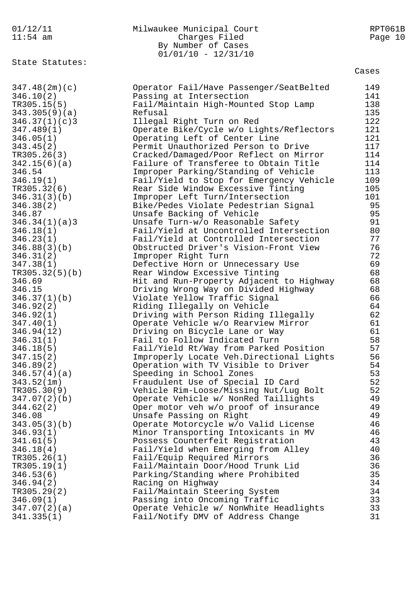| 01/12/11            | Milwaukee Municipal Court                                                      | RPT061B    |
|---------------------|--------------------------------------------------------------------------------|------------|
| $11:54$ am          | Charges Filed                                                                  | Page 10    |
|                     | By Number of Cases                                                             |            |
|                     | $01/01/10 - 12/31/10$                                                          |            |
| State Statutes:     |                                                                                | Cases      |
|                     |                                                                                |            |
| 347.48(2m)(c)       | Operator Fail/Have Passenger/SeatBelted                                        | 149        |
| 346.10(2)           | Passing at Intersection                                                        | 141        |
| TR305.15(5)         | Fail/Maintain High-Mounted Stop Lamp                                           | 138        |
| 343.305(9)(a)       | Refusal                                                                        | 135        |
| 346.37(1)(c)3       | Illegal Right Turn on Red                                                      | 122        |
| 347.489(1)          | Operate Bike/Cycle w/o Lights/Reflectors                                       | 121        |
| 346.05(1)           | Operating Left of Center Line                                                  | 121<br>117 |
| 343.45(2)           | Permit Unauthorized Person to Drive                                            |            |
| TR305.26(3)         | Cracked/Damaged/Poor Reflect on Mirror                                         | 114<br>114 |
| 342.15(6)(a)        | Failure of Transferee to Obtain Title                                          | 113        |
| 346.54<br>346.19(1) | Improper Parking/Standing of Vehicle                                           | 109        |
| TR305.32(6)         | Fail/Yield to Stop for Emergency Vehicle<br>Rear Side Window Excessive Tinting | 105        |
| 346.31(3)(b)        | Improper Left Turn/Intersection                                                | 101        |
| 346.38(2)           | Bike/Pedes Violate Pedestrian Signal                                           | 95         |
| 346.87              | Unsafe Backing of Vehicle                                                      | 95         |
| 346.34(1)(a)3       | Unsafe Turn-w/o Reasonable Safety                                              | 91         |
| 346.18(1)           | Fail/Yield at Uncontrolled Intersection                                        | 80         |
| 346.23(1)           | Fail/Yield at Controlled Intersection                                          | 77         |
| 346.88(3)(b)        | Obstructed Driver's Vision-Front View                                          | 76         |
| 346.31(2)           | Improper Right Turn                                                            | 72         |
| 347.38(1)           | Defective Horn or Unnecessary Use                                              | 69         |
| TR305.32(5)(b)      | Rear Window Excessive Tinting                                                  | 68         |
| 346.69              | Hit and Run-Property Adjacent to Highway                                       | 68         |
| 346.15              | Driving Wrong Way on Divided Highway                                           | 68         |
| 346.37(1)(b)        | Violate Yellow Traffic Signal                                                  | 66         |
| 346.92(2)           | Riding Illegally on Vehicle                                                    | 64         |
| 346.92(1)           | Driving with Person Riding Illegally                                           | 62         |
| 347.40(1)           | Operate Vehicle w/o Rearview Mirror                                            | 61         |
| 346.94(12)          | Driving on Bicycle Lane or Way                                                 | 61         |
| 346.31(1)           | Fail to Follow Indicated Turn                                                  | 58         |
| 346.18(5)           | Fail/Yield Rt/Way from Parked Position                                         | 57         |
| 347.15(2)           | Improperly Locate Veh.Directional Lights                                       | 56         |
| 346.89(2)           | Operation with TV Visible to Driver                                            | 54         |
| 346.57(4)(a)        | Speeding in School Zones                                                       | 53         |
| 343.52(1m)          | Fraudulent Use of Special ID Card                                              | 52         |
| TR305.30(9)         | Vehicle Rim-Loose/Missing Nut/Lug Bolt                                         | 52         |
| 347.07(2)(b)        | Operate Vehicle w/ NonRed Taillights                                           | 49         |
| 344.62(2)           | Oper motor veh w/o proof of insurance                                          | 49         |
| 346.08              | Unsafe Passing on Right                                                        | 49         |
| 343.05(3)(b)        | Operate Motorcycle w/o Valid License                                           | 46         |
| 346.93(1)           | Minor Transporting Intoxicants in MV                                           | 46         |
| 341.61(5)           | Possess Counterfeit Registration                                               | 43         |
| 346.18(4)           | Fail/Yield when Emerging from Alley                                            | 40         |
| TR305.26(1)         | Fail/Equip Required Mirrors                                                    | 36         |
| TR305.19(1)         | Fail/Maintain Door/Hood Trunk Lid                                              | 36         |
| 346.53(6)           | Parking/Standing where Prohibited                                              | 35         |
| 346.94(2)           | Racing on Highway                                                              | 34         |
| TR305.29(2)         | Fail/Maintain Steering System                                                  | 34         |
| 346.09(1)           | Passing into Oncoming Traffic                                                  | 33         |
| 347.07(2)(a)        | Operate Vehicle w/ NonWhite Headlights                                         | 33         |
| 341.335(1)          | Fail/Notify DMV of Address Change                                              | 31         |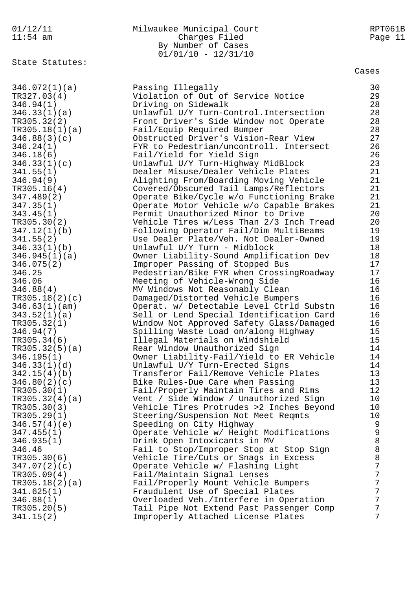## 01/12/11 Milwaukee Municipal Court RPT061B 11:54 am Charges Filed Page 11 By Number of Cases 01/01/10 - 12/31/10

State Statutes:

| 346.072(1)(a)  | Passing Illegally                        | 30          |
|----------------|------------------------------------------|-------------|
| TR327.03(4)    | Violation of Out of Service Notice       | 29          |
| 346.94(1)      | Driving on Sidewalk                      | 28          |
| 346.33(1)(a)   | Unlawful U/Y Turn-Control. Intersection  | 28          |
|                |                                          |             |
| TR305.32(2)    | Front Driver's Side Window not Operate   | 28          |
| TR305.18(1)(a) | Fail/Equip Required Bumper               | 28          |
| 346.88(3)(c)   | Obstructed Driver's Vision-Rear View     | 27          |
| 346.24(1)      | FYR to Pedestrian/uncontroll. Intersect  | 26          |
| 346.18(6)      | Fail/Yield for Yield Sign                | 26          |
| 346.33(1)(c)   | Unlawful U/Y Turn-Highway MidBlock       | 23          |
| 341.55(1)      | Dealer Misuse/Dealer Vehicle Plates      | 21          |
| 346.94(9)      | Alighting From/Boarding Moving Vehicle   | 21          |
| TR305.16(4)    | Covered/Obscured Tail Lamps/Reflectors   | 21          |
| 347.489(2)     | Operate Bike/Cycle w/o Functioning Brake | 21          |
|                |                                          |             |
| 347.35(1)      | Operate Motor Vehicle w/o Capable Brakes | 21          |
| 343.45(1)      | Permit Unauthorized Minor to Drive       | 20          |
| TR305.30(2)    | Vehicle Tires w/Less Than 2/3 Inch Tread | 20          |
| 347.12(1)(b)   | Following Operator Fail/Dim MultiBeams   | 19          |
| 341.55(2)      | Use Dealer Plate/Veh. Not Dealer-Owned   | 19          |
| 346.33(1)(b)   | Unlawful U/Y Turn - Midblock             | 18          |
| 346.945(1)(a)  | Owner Liability-Sound Amplification Dev  | 18          |
| 346.075(2)     | Improper Passing of Stopped Bus          | 17          |
| 346.25         | Pedestrian/Bike FYR when CrossingRoadway | 17          |
| 346.06         | Meeting of Vehicle-Wrong Side            | 16          |
|                |                                          | 16          |
| 346.88(4)      | MV Windows Not Reasonably Clean          |             |
| TR305.18(2)(c) | Damaged/Distorted Vehicle Bumpers        | 16          |
| 346.63(1)(am)  | Operat. w/ Detectable Level Ctrld Substn | 16          |
| 343.52(1)(a)   | Sell or Lend Special Identification Card | 16          |
| TR305.32(1)    | Window Not Approved Safety Glass/Damaged | 16          |
| 346.94(7)      | Spilling Waste Load on/along Highway     | 15          |
| TR305.34(6)    | Illegal Materials on Windshield          | 15          |
| TR305.32(5)(a) | Rear Window Unauthorized Sign            | 14          |
| 346.195(1)     | Owner Liability-Fail/Yield to ER Vehicle | 14          |
| 346.33(1)(d)   | Unlawful U/Y Turn-Erected Signs          | 14          |
| 342.15(4)(b)   | Transferor Fail/Remove Vehicle Plates    | 13          |
|                |                                          | 13          |
| 346.80(2)(c)   | Bike Rules-Due Care when Passing         |             |
| TR305.30(1)    | Fail/Properly Maintain Tires and Rims    | 12          |
| TR305.32(4)(a) | Vent / Side Window / Unauthorized Sign   | 10          |
| TR305.30(3)    | Vehicle Tires Protrudes >2 Inches Beyond | 10          |
| TR305.29(1)    | Steering/Suspension Not Meet Reqmts      | 10          |
| 346.57(4)(e)   | Speeding on City Highway                 | 9           |
| 347.455(1)     | Operate Vehicle w/ Height Modifications  | $\mathsf 9$ |
| 346.935(1)     | Drink Open Intoxicants in MV             | $\, 8$      |
| 346.46         | Fail to Stop/Improper Stop at Stop Sign  | $\, 8$      |
| TR305.30(6)    | Vehicle Tire/Cuts or Snags in Excess     | $\,8\,$     |
| 347.07(2)(c)   | Operate Vehicle w/ Flashing Light        | 7           |
| TR305.09(4)    | Fail/Maintain Signal Lenses              | 7           |
|                | Fail/Properly Mount Vehicle Bumpers      | 7           |
| TR305.18(2)(a) |                                          |             |
| 341.625(1)     | Fraudulent Use of Special Plates         | 7           |
| 346.88(1)      | Overloaded Veh./Interfere in Operation   | 7           |
| TR305.20(5)    | Tail Pipe Not Extend Past Passenger Comp | 7           |
| 341.15(2)      | Improperly Attached License Plates       | 7           |
|                |                                          |             |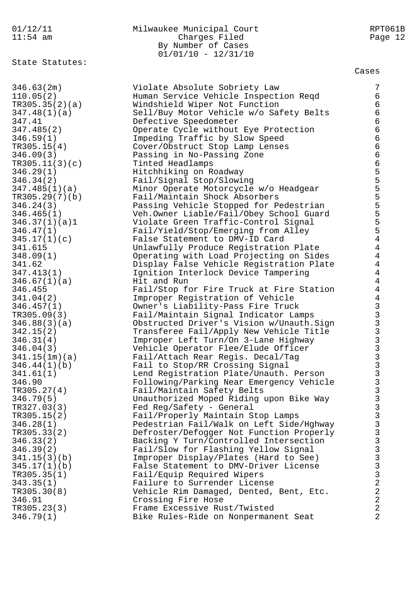#### 01/12/11 Milwaukee Municipal Court RPT061B 11:54 am Charges Filed Page 12 By Number of Cases 01/01/10 - 12/31/10

State Statutes:

| 346.63(2m)     | Violate Absolute Sobriety Law            | 7                                                                                      |
|----------------|------------------------------------------|----------------------------------------------------------------------------------------|
| 110.05(2)      | Human Service Vehicle Inspection Reqd    | 6                                                                                      |
|                |                                          |                                                                                        |
| TR305.35(2)(a) | Windshield Wiper Not Function            | $\epsilon$                                                                             |
| 347.48(1)(a)   | Sell/Buy Motor Vehicle w/o Safety Belts  | $\epsilon$                                                                             |
| 347.41         | Defective Speedometer                    | $\epsilon$                                                                             |
| 347.485(2)     | Operate Cycle without Eye Protection     | $\epsilon$                                                                             |
| 346.59(1)      | Impeding Traffic by Slow Speed           | $\epsilon$                                                                             |
| TR305.15(4)    | Cover/Obstruct Stop Lamp Lenses          | $\epsilon$                                                                             |
| 346.09(3)      | Passing in No-Passing Zone               | $\epsilon$                                                                             |
| TR305.11(3)(c) | Tinted Headlamps                         |                                                                                        |
| 346.29(1)      | Hitchhiking on Roadway                   |                                                                                        |
| 346.34(2)      | Fail/Signal Stop/Slowing                 | 655555                                                                                 |
| 347.485(1)(a)  | Minor Operate Motorcycle w/o Headgear    |                                                                                        |
| TR305.29(7)(b) | Fail/Maintain Shock Absorbers            |                                                                                        |
|                |                                          |                                                                                        |
| 346.24(3)      | Passing Vehicle Stopped for Pedestrian   |                                                                                        |
| 346.465(1)     | Veh.Owner Liable/Fail/Obey School Guard  | 5                                                                                      |
| 346.37(1)(a)1  | Violate Green Traffic-Control Signal     | 5                                                                                      |
| 346.47(1)      | Fail/Yield/Stop/Emerging from Alley      | 5                                                                                      |
| 345.17(1)(c)   | False Statement to DMV-ID Card           | $\overline{4}$                                                                         |
| 341.615        | Unlawfully Produce Registration Plate    | $\overline{4}$                                                                         |
| 348.09(1)      | Operating with Load Projecting on Sides  | $\overline{4}$                                                                         |
| 341.62         | Display False Vehicle Registration Plate | $\overline{4}$                                                                         |
| 347.413(1)     | Ignition Interlock Device Tampering      | $\overline{4}$                                                                         |
| 346.67(1)(a)   | Hit and Run                              | $\overline{4}$                                                                         |
| 346.455        | Fail/Stop for Fire Truck at Fire Station | $\overline{4}$                                                                         |
| 341.04(2)      | Improper Registration of Vehicle         | $\overline{4}$                                                                         |
| 346.457(1)     | Owner's Liability-Pass Fire Truck        |                                                                                        |
| TR305.09(3)    | Fail/Maintain Signal Indicator Lamps     | 3<br>3<br>3<br>3<br>3<br>3<br>3<br>3<br>3<br>3<br>3<br>3<br>3<br>3<br>3<br>3<br>3<br>3 |
| 346.88(3)(a)   | Obstructed Driver's Vision w/Unauth.Sign |                                                                                        |
|                |                                          |                                                                                        |
| 342.15(2)      | Transferee Fail/Apply New Vehicle Title  |                                                                                        |
| 346.31(4)      | Improper Left Turn/On 3-Lane Highway     |                                                                                        |
| 346.04(3)      | Vehicle Operator Flee/Elude Officer      |                                                                                        |
| 341.15(1m)(a)  | Fail/Attach Rear Regis. Decal/Tag        |                                                                                        |
| 346.44(1)(b)   | Fail to Stop/RR Crossing Signal          |                                                                                        |
| 341.61(1)      | Lend Registration Plate/Unauth. Person   |                                                                                        |
| 346.90         | Following/Parking Near Emergency Vehicle |                                                                                        |
| TR305.27(4)    | Fail/Maintain Safety Belts               | $\mathfrak{Z}$                                                                         |
| 346.79(5)      | Unauthorized Moped Riding upon Bike Way  | 3                                                                                      |
| TR327.03(3)    | Fed Reg/Safety - General                 |                                                                                        |
| TR305.15(2)    | Fail/Properly Maintain Stop Lamps        |                                                                                        |
| 346.28(1)      | Pedestrian Fail/Walk on Left Side/Hghway |                                                                                        |
| TR305.33(2)    | Defroster/Defogger Not Function Properly |                                                                                        |
| 346.33(2)      | Backing Y Turn/Controlled Intersection   |                                                                                        |
| 346.39(2)      | Fail/Slow for Flashing Yellow Signal     |                                                                                        |
| 341.15(3)(b)   | Improper Display/Plates (Hard to See)    |                                                                                        |
| 345.17(1)(b)   | False Statement to DMV-Driver License    |                                                                                        |
|                |                                          | 3333333322                                                                             |
| TR305.35(1)    | Fail/Equip Required Wipers               |                                                                                        |
| 343.35(1)      | Failure to Surrender License             |                                                                                        |
| TR305.30(8)    | Vehicle Rim Damaged, Dented, Bent, Etc.  |                                                                                        |
| 346.91         | Crossing Fire Hose                       | $\overline{a}$                                                                         |
| TR305.23(3)    | Frame Excessive Rust/Twisted             | $\overline{2}$                                                                         |
| 346.79(1)      | Bike Rules-Ride on Nonpermanent Seat     | $\overline{2}$                                                                         |
|                |                                          |                                                                                        |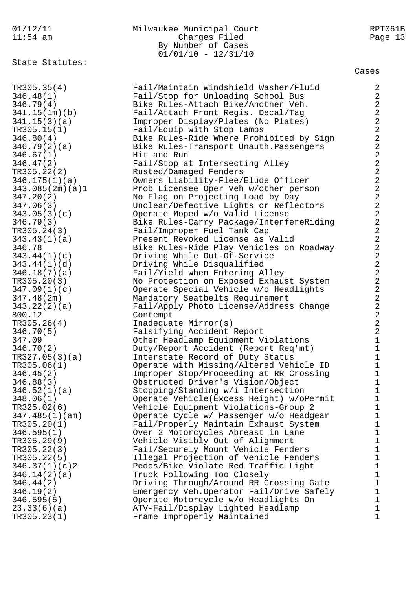| 01/12/11<br>$11:54$ am                                                             | Milwaukee Municipal Court<br>Charges Filed<br>By Number of Cases<br>$01/01/10 - 12/31/10$                                                                                                           | RPT061B<br>Page 13                                                                |
|------------------------------------------------------------------------------------|-----------------------------------------------------------------------------------------------------------------------------------------------------------------------------------------------------|-----------------------------------------------------------------------------------|
| State Statutes:                                                                    |                                                                                                                                                                                                     | Cases                                                                             |
| TR305.35(4)                                                                        | Fail/Maintain Windshield Washer/Fluid                                                                                                                                                               | 2                                                                                 |
| 346.48(1)                                                                          | Fail/Stop for Unloading School Bus                                                                                                                                                                  | $\sqrt{2}$                                                                        |
| 346.79(4)                                                                          | Bike Rules-Attach Bike/Another Veh.                                                                                                                                                                 | $\sqrt{2}$                                                                        |
| 341.15(1m)(b)                                                                      | Fail/Attach Front Regis. Decal/Tag                                                                                                                                                                  | $\overline{a}$                                                                    |
| 341.15(3)(a)                                                                       | Improper Display/Plates (No Plates)                                                                                                                                                                 | $\sqrt{2}$                                                                        |
| TR305.15(1)                                                                        | Fail/Equip with Stop Lamps                                                                                                                                                                          | $\overline{a}$                                                                    |
| 346.80(4)                                                                          | Bike Rules-Ride Where Prohibited by Sign                                                                                                                                                            | $\overline{2}$                                                                    |
| 346.79(2)(a)                                                                       | Bike Rules-Transport Unauth. Passengers                                                                                                                                                             | $\overline{a}$                                                                    |
| 346.67(1)                                                                          | Hit and Run                                                                                                                                                                                         | $\overline{a}$                                                                    |
| 346.47(2)                                                                          | Fail/Stop at Intersecting Alley                                                                                                                                                                     | $\overline{a}$                                                                    |
| TR305.22(2)                                                                        | Rusted/Damaged Fenders                                                                                                                                                                              | $\overline{a}$                                                                    |
| 346.175(1)(a)                                                                      | Owners Liability-Flee/Elude Officer                                                                                                                                                                 | $\sqrt{2}$                                                                        |
| 343.085(2m)(a)1                                                                    | Prob Licensee Oper Veh w/other person                                                                                                                                                               | $\sqrt{2}$                                                                        |
| 347.20(2)                                                                          | No Flag on Projecting Load by Day                                                                                                                                                                   | $\overline{2}$                                                                    |
| 347.06(3)                                                                          | Unclean/Defective Lights or Reflectors                                                                                                                                                              | $\overline{a}$                                                                    |
| 343.05(3)(c)                                                                       | Operate Moped w/o Valid License                                                                                                                                                                     | $\overline{2}$                                                                    |
| 346.79(3)                                                                          | Bike Rules-Carry Package/InterfereRiding                                                                                                                                                            | $\overline{a}$                                                                    |
| TR305.24(3)                                                                        | Fail/Improper Fuel Tank Cap                                                                                                                                                                         | $\overline{2}$                                                                    |
| 343.43(1)(a)                                                                       | Present Revoked License as Valid                                                                                                                                                                    | $\overline{a}$                                                                    |
| 346.78                                                                             | Bike Rules-Ride Play Vehicles on Roadway                                                                                                                                                            | $\sqrt{2}$                                                                        |
| 343.44(1)(c)                                                                       | Driving While Out-Of-Service                                                                                                                                                                        | $\overline{2}$                                                                    |
| 343.44(1)(d)                                                                       | Driving While Disqualified                                                                                                                                                                          | $\overline{2}$                                                                    |
| 346.18(7)(a)                                                                       | Fail/Yield when Entering Alley                                                                                                                                                                      | $\sqrt{2}$                                                                        |
| TR305.20(3)<br>347.09(1)(c)<br>347.48(2m)<br>343.22(2)(a)<br>800.12<br>TR305.26(4) | No Protection on Exposed Exhaust System<br>Operate Special Vehicle w/o Headlights<br>Mandatory Seatbelts Requirement<br>Fail/Apply Photo License/Address Change<br>Contempt<br>Inadequate Mirror(s) | $\sqrt{2}$<br>$\overline{a}$<br>$\overline{a}$<br>$\overline{a}$<br>$\frac{2}{2}$ |
| 346.70(5)                                                                          | Falsifying Accident Report                                                                                                                                                                          | $\overline{a}$                                                                    |
| 347.09                                                                             | Other Headlamp Equipment Violations                                                                                                                                                                 | 1                                                                                 |
| 346.70(2)                                                                          | Duty/Report Accident (Report Req'mt)                                                                                                                                                                | 1                                                                                 |
| TR327.05(3)(a)                                                                     | Interstate Record of Duty Status                                                                                                                                                                    | $\mathbf 1$                                                                       |
| TR305.06(1)                                                                        | Operate with Missing/Altered Vehicle ID                                                                                                                                                             | $\mathbf 1$                                                                       |
| 346.45(2)                                                                          | Improper Stop/Proceeding at RR Crossing                                                                                                                                                             | $\mathbf 1$                                                                       |
| 346.88(3)                                                                          | Obstructed Driver's Vision/Object                                                                                                                                                                   | $\mathbf 1$                                                                       |
| 346.52(1)(a)                                                                       | Stopping/Standing w/i Intersection                                                                                                                                                                  | $\mathbf 1$                                                                       |
| 348.06(1)                                                                          | Operate Vehicle (Excess Height) w/oPermit                                                                                                                                                           | $\mathbf 1$                                                                       |
| TR325.02(6)                                                                        | Vehicle Equipment Violations-Group 2                                                                                                                                                                | 1                                                                                 |
| 347.485(1)(am)                                                                     | Operate Cycle w/ Passenger w/o Headgear                                                                                                                                                             | $\mathbf 1$                                                                       |
| TR305.20(1)                                                                        | Fail/Properly Maintain Exhaust System                                                                                                                                                               | $\mathbf 1$                                                                       |
| 346.595(1)                                                                         | Over 2 Motorcycles Abreast in Lane                                                                                                                                                                  | $\mathbf 1$                                                                       |
| TR305.29(9)                                                                        | Vehicle Visibly Out of Alignment                                                                                                                                                                    | $\mathbf 1$                                                                       |
| TR305.22(3)                                                                        | Fail/Securely Mount Vehicle Fenders                                                                                                                                                                 | $\mathbf 1$                                                                       |
| TR305.22(5)                                                                        | Illegal Projection of Vehicle Fenders                                                                                                                                                               | $\mathbf 1$                                                                       |
| 346.37(1)(c)2                                                                      | Pedes/Bike Violate Red Traffic Light                                                                                                                                                                | 1                                                                                 |
| 346.14(2)(a)                                                                       | Truck Following Too Closely                                                                                                                                                                         | $\mathbf 1$                                                                       |
| 346.44(2)                                                                          | Driving Through/Around RR Crossing Gate                                                                                                                                                             | $\mathbf 1$                                                                       |
| 346.19(2)                                                                          | Emergency Veh.Operator Fail/Drive Safely                                                                                                                                                            | $\mathbf 1$                                                                       |
| 346.595(5)                                                                         | Operate Motorcycle w/o Headlights On                                                                                                                                                                | 1                                                                                 |
| 23.33(6)(a)                                                                        | ATV-Fail/Display Lighted Headlamp                                                                                                                                                                   | 1                                                                                 |
| TR305.23(1)                                                                        | Frame Improperly Maintained                                                                                                                                                                         | $\mathbf 1$                                                                       |